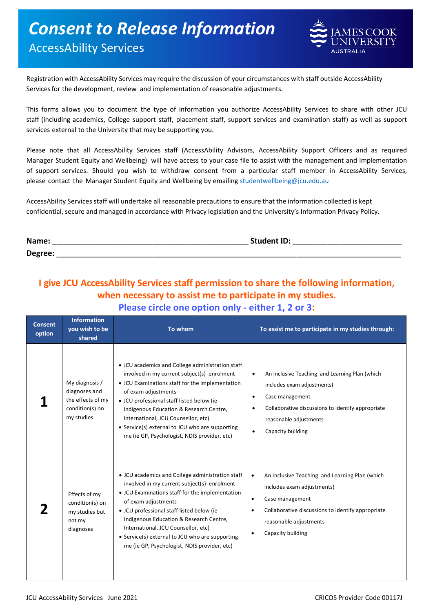## *Consent to Release Information* AccessAbility Services



Registration with AccessAbility Services may require the discussion of your circumstances with staff outside AccessAbility Servicesfor the development, review and implementation of reasonable adjustments.

This forms allows you to document the type of information you authorize AccessAbility Services to share with other JCU staff (including academics, College support staff, placement staff, support services and examination staff) as well as support services external to the University that may be supporting you.

Please note that all AccessAbility Services staff (AccessAbility Advisors, AccessAbility Support Officers and as required Manager Student Equity and Wellbeing) will have access to your case file to assist with the management and implementation of support services. Should you wish to withdraw consent from a particular staff member in AccessAbility Services, please contact the Manager Student Equity and [Wellbeing by emailing studentwe](mailto:studentwellbeing@jcu.edu.au)llbeing@jcu.edu.au

AccessAbility Services staff will undertake all reasonable precautions to ensure that the information collected is kept confidential, secure and managed in accordance with Privacy legislation and the University's Information Privacy Policy.

| Name:   | <b>Student ID:</b> |
|---------|--------------------|
| Degree: |                    |

## **I give JCU AccessAbility Services staff permission to share the following information, when necessary to assist me to participate in my studies. Please circle one option only - either 1, 2 or 3:**

| <b>Consent</b><br>option | <b>Information</b><br>you wish to be<br>shared                                        | To whom                                                                                                                                                                                                                                                                                                                                                                                                     | To assist me to participate in my studies through:                                                                                                                                                                                                      |
|--------------------------|---------------------------------------------------------------------------------------|-------------------------------------------------------------------------------------------------------------------------------------------------------------------------------------------------------------------------------------------------------------------------------------------------------------------------------------------------------------------------------------------------------------|---------------------------------------------------------------------------------------------------------------------------------------------------------------------------------------------------------------------------------------------------------|
|                          | My diagnosis /<br>diagnoses and<br>the effects of my<br>condition(s) on<br>my studies | • JCU academics and College administration staff<br>involved in my current subject(s) enrolment<br>• JCU Examinations staff for the implementation<br>of exam adjustments<br>• JCU professional staff listed below (ie<br>Indigenous Education & Research Centre,<br>International, JCU Counsellor, etc)<br>• Service(s) external to JCU who are supporting<br>me (ie GP, Psychologist, NDIS provider, etc) | An Inclusive Teaching and Learning Plan (which<br>$\bullet$<br>includes exam adjustments)<br>Case management<br>$\bullet$<br>Collaborative discussions to identify appropriate<br>$\bullet$<br>reasonable adjustments<br>Capacity building<br>$\bullet$ |
|                          | Effects of my<br>condition(s) on<br>my studies but<br>not my<br>diagnoses             | • JCU academics and College administration staff<br>involved in my current subject(s) enrolment<br>• JCU Examinations staff for the implementation<br>of exam adjustments<br>• JCU professional staff listed below (ie<br>Indigenous Education & Research Centre,<br>International, JCU Counsellor, etc)<br>• Service(s) external to JCU who are supporting<br>me (ie GP, Psychologist, NDIS provider, etc) | An Inclusive Teaching and Learning Plan (which<br>$\bullet$<br>includes exam adjustments)<br>Case management<br>$\bullet$<br>Collaborative discussions to identify appropriate<br>$\bullet$<br>reasonable adjustments<br>Capacity building              |